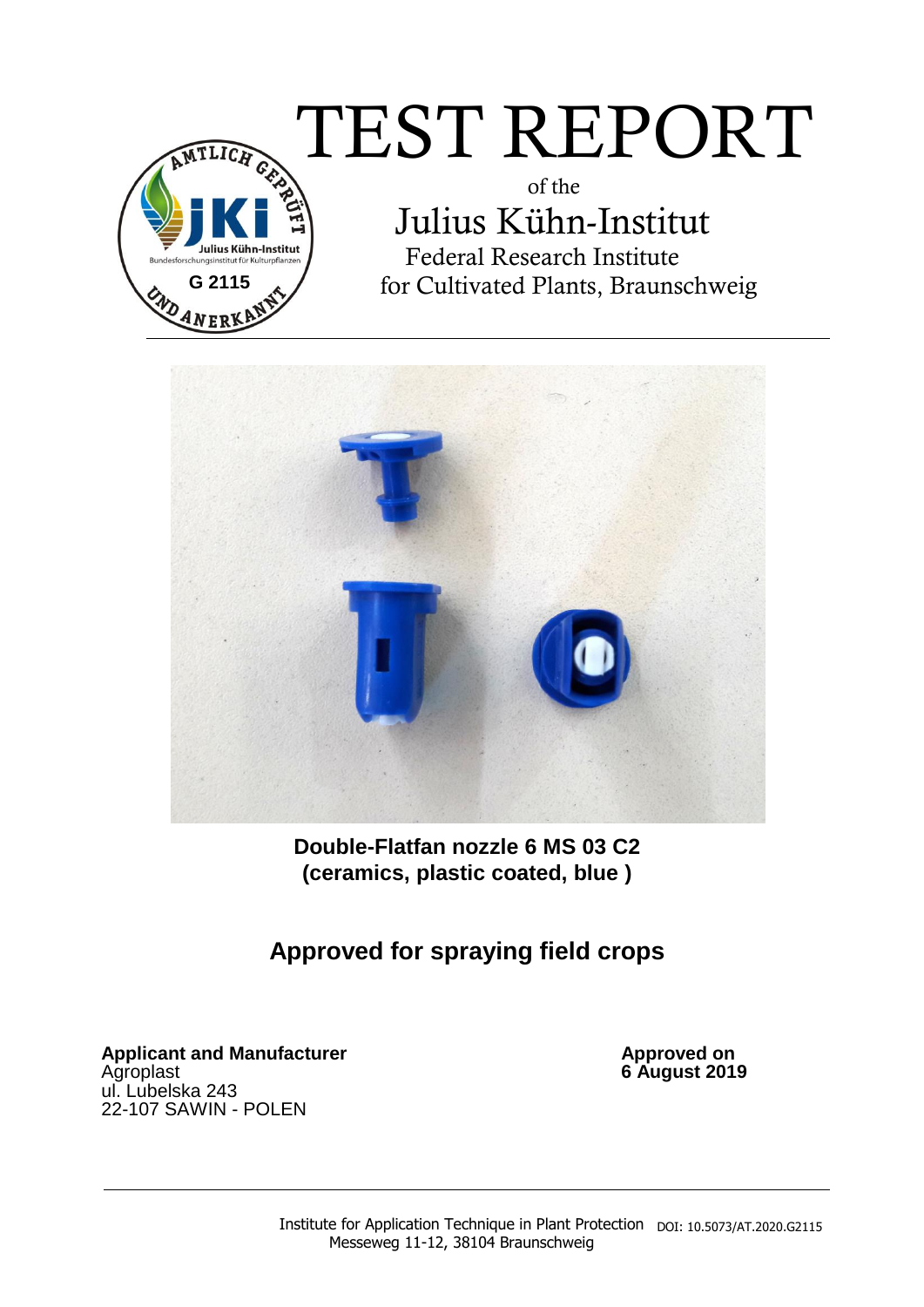# $\widehat{\pi_{\text{\tiny{ILIGR}}}} \text{TEST} \ \text{REPORT}$



 of the Julius Kühn-Institut Federal Research Institute for Cultivated Plants, Braunschweig



**Double-Flatfan nozzle 6 MS 03 C2 (ceramics, plastic coated, blue )** 

**Approved for spraying field crops** 

Applicant and Manufacturer **Applicant and Manufacturer Approved on** Agroplast **6 August 2019** ul. Lubelska 243 22-107 SAWIN - POLEN